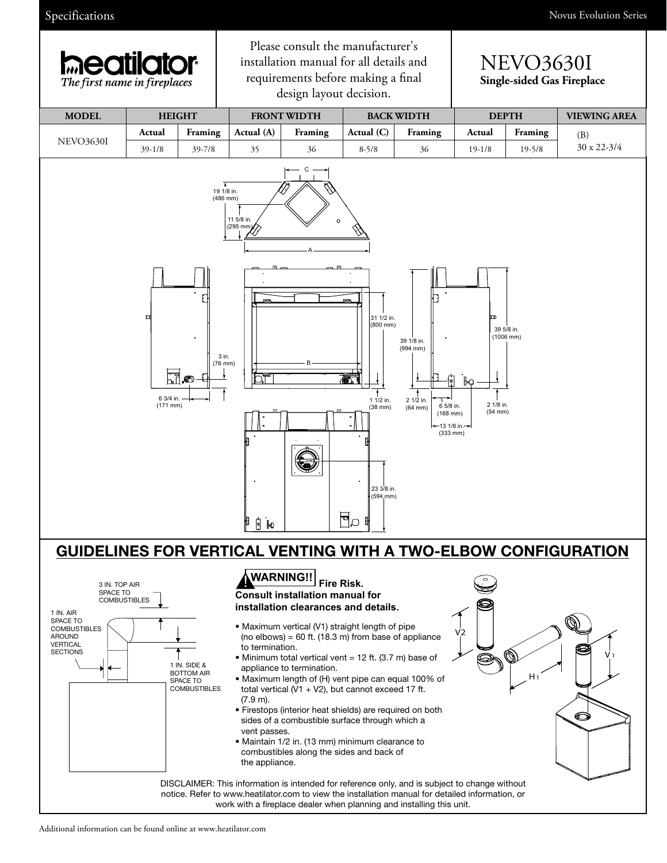